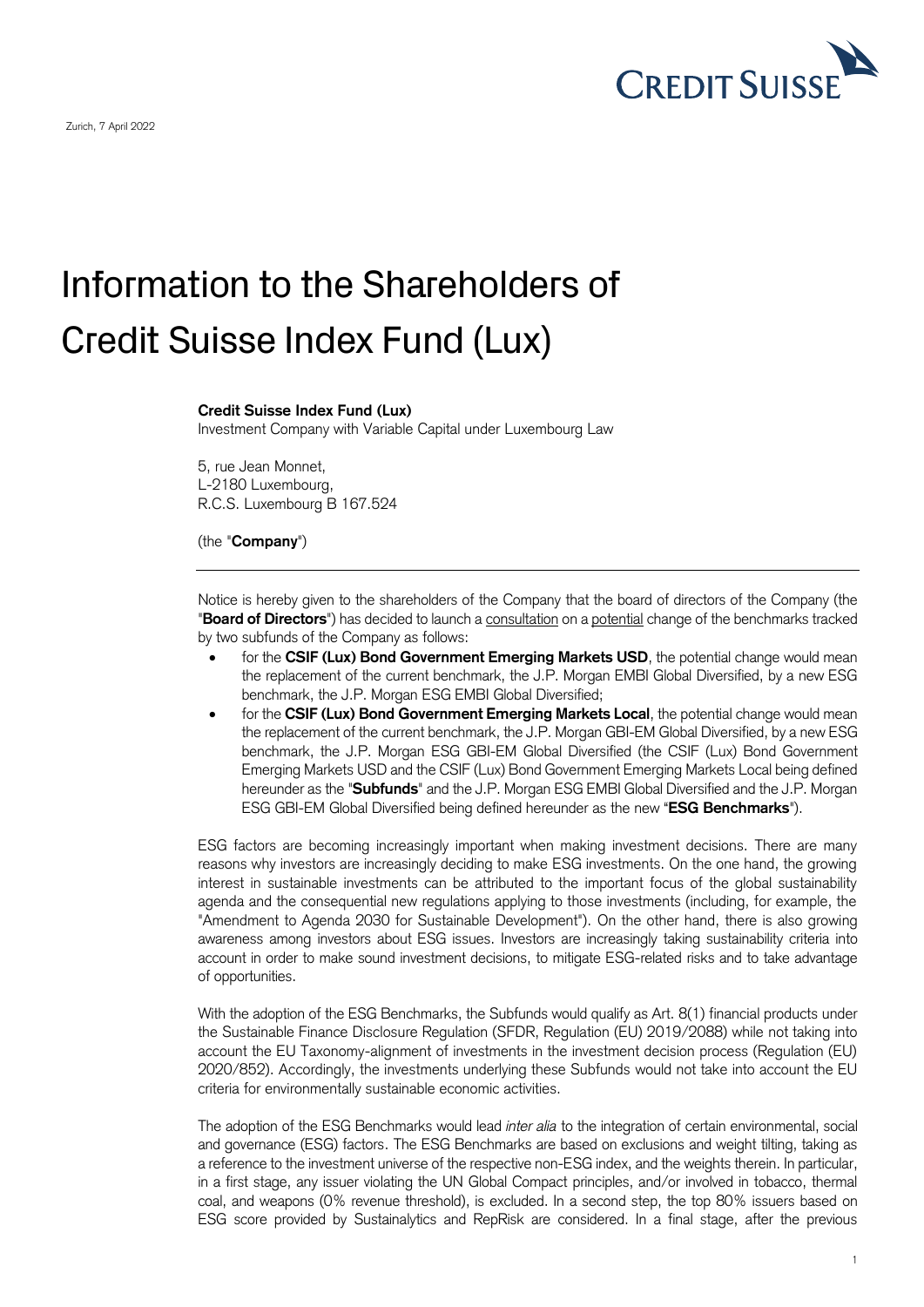

## Information to the Shareholders of Credit Suisse Index Fund (Lux)

## **Credit Suisse Index Fund (Lux)**

Investment Company with Variable Capital under Luxembourg Law

5, rue Jean Monnet, L-2180 Luxembourg, R.C.S. Luxembourg B 167.524

(the "**Company**")

Notice is hereby given to the shareholders of the Company that the board of directors of the Company (the "**Board of Directors**") has decided to launch a consultation on a potential change of the benchmarks tracked by two subfunds of the Company as follows:

- for the CSIF (Lux) Bond Government Emerging Markets USD, the potential change would mean the replacement of the current benchmark, the J.P. Morgan EMBI Global Diversified, by a new ESG benchmark, the J.P. Morgan ESG EMBI Global Diversified;
- for the **CSIF (Lux) Bond Government Emerging Markets Local**, the potential change would mean the replacement of the current benchmark, the J.P. Morgan GBI-EM Global Diversified, by a new ESG benchmark, the J.P. Morgan ESG GBI-EM Global Diversified (the CSIF (Lux) Bond Government Emerging Markets USD and the CSIF (Lux) Bond Government Emerging Markets Local being defined hereunder as the "**Subfunds**" and the J.P. Morgan ESG EMBI Global Diversified and the J.P. Morgan ESG GBI-EM Global Diversified being defined hereunder as the new "**ESG Benchmarks**").

ESG factors are becoming increasingly important when making investment decisions. There are many reasons why investors are increasingly deciding to make ESG investments. On the one hand, the growing interest in sustainable investments can be attributed to the important focus of the global sustainability agenda and the consequential new regulations applying to those investments (including, for example, the "Amendment to Agenda 2030 for Sustainable Development"). On the other hand, there is also growing awareness among investors about ESG issues. Investors are increasingly taking sustainability criteria into account in order to make sound investment decisions, to mitigate ESG-related risks and to take advantage of opportunities.

With the adoption of the ESG Benchmarks, the Subfunds would qualify as Art. 8(1) financial products under the Sustainable Finance Disclosure Regulation (SFDR, Regulation (EU) 2019/2088) while not taking into account the EU Taxonomy-alignment of investments in the investment decision process (Regulation (EU) 2020/852). Accordingly, the investments underlying these Subfunds would not take into account the EU criteria for environmentally sustainable economic activities.

The adoption of the ESG Benchmarks would lead *inter alia* to the integration of certain environmental, social and governance (ESG) factors. The ESG Benchmarks are based on exclusions and weight tilting, taking as a reference to the investment universe of the respective non-ESG index, and the weights therein. In particular, in a first stage, any issuer violating the UN Global Compact principles, and/or involved in tobacco, thermal coal, and weapons (0% revenue threshold), is excluded. In a second step, the top 80% issuers based on ESG score provided by Sustainalytics and RepRisk are considered. In a final stage, after the previous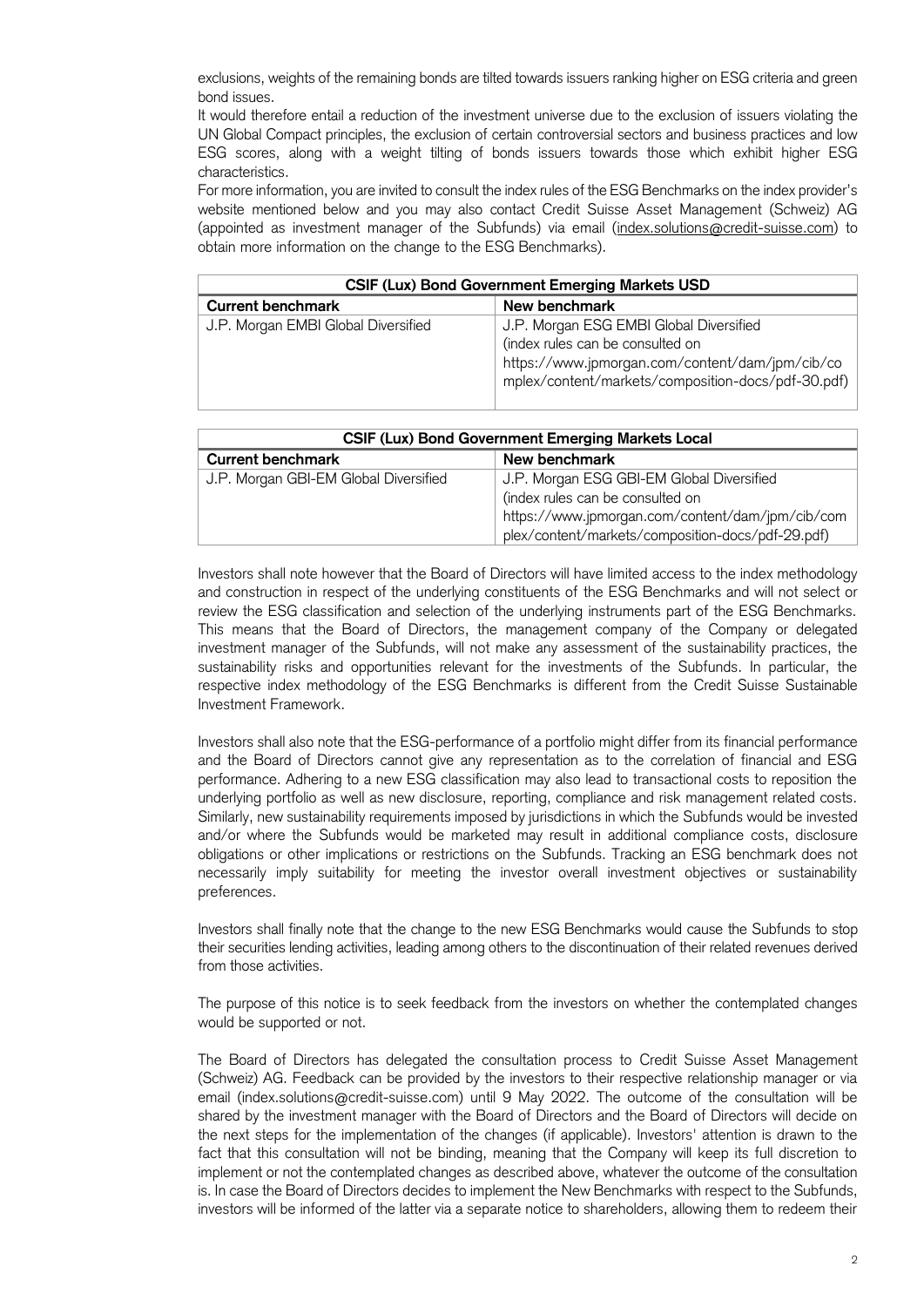exclusions, weights of the remaining bonds are tilted towards issuers ranking higher on ESG criteria and green bond issues.

It would therefore entail a reduction of the investment universe due to the exclusion of issuers violating the UN Global Compact principles, the exclusion of certain controversial sectors and business practices and low ESG scores, along with a weight tilting of bonds issuers towards those which exhibit higher ESG characteristics.

For more information, you are invited to consult the index rules of the ESG Benchmarks on the index provider's website mentioned below and you may also contact Credit Suisse Asset Management (Schweiz) AG (appointed as investment manager of the Subfunds) via email [\(index.solutions@credit-suisse.com\)](mailto:index.solutions@credit-suisse.com) to obtain more information on the change to the ESG Benchmarks).

| <b>CSIF (Lux) Bond Government Emerging Markets USD</b> |                                                                                                                                                                                      |  |
|--------------------------------------------------------|--------------------------------------------------------------------------------------------------------------------------------------------------------------------------------------|--|
| <b>Current benchmark</b>                               | New benchmark                                                                                                                                                                        |  |
| J.P. Morgan EMBI Global Diversified                    | J.P. Morgan ESG EMBI Global Diversified<br>(index rules can be consulted on<br>https://www.jpmorgan.com/content/dam/jpm/cib/co<br>mplex/content/markets/composition-docs/pdf-30.pdf) |  |

| <b>CSIF (Lux) Bond Government Emerging Markets Local</b> |                                                   |  |
|----------------------------------------------------------|---------------------------------------------------|--|
| <b>Current benchmark</b>                                 | New benchmark                                     |  |
| J.P. Morgan GBI-EM Global Diversified                    | J.P. Morgan ESG GBI-EM Global Diversified         |  |
|                                                          | (index rules can be consulted on                  |  |
|                                                          | https://www.jpmorgan.com/content/dam/jpm/cib/com  |  |
|                                                          | plex/content/markets/composition-docs/pdf-29.pdf) |  |

Investors shall note however that the Board of Directors will have limited access to the index methodology and construction in respect of the underlying constituents of the ESG Benchmarks and will not select or review the ESG classification and selection of the underlying instruments part of the ESG Benchmarks. This means that the Board of Directors, the management company of the Company or delegated investment manager of the Subfunds, will not make any assessment of the sustainability practices, the sustainability risks and opportunities relevant for the investments of the Subfunds. In particular, the respective index methodology of the ESG Benchmarks is different from the Credit Suisse Sustainable Investment Framework.

Investors shall also note that the ESG-performance of a portfolio might differ from its financial performance and the Board of Directors cannot give any representation as to the correlation of financial and ESG performance. Adhering to a new ESG classification may also lead to transactional costs to reposition the underlying portfolio as well as new disclosure, reporting, compliance and risk management related costs. Similarly, new sustainability requirements imposed by jurisdictions in which the Subfunds would be invested and/or where the Subfunds would be marketed may result in additional compliance costs, disclosure obligations or other implications or restrictions on the Subfunds. Tracking an ESG benchmark does not necessarily imply suitability for meeting the investor overall investment objectives or sustainability preferences.

Investors shall finally note that the change to the new ESG Benchmarks would cause the Subfunds to stop their securities lending activities, leading among others to the discontinuation of their related revenues derived from those activities.

The purpose of this notice is to seek feedback from the investors on whether the contemplated changes would be supported or not.

The Board of Directors has delegated the consultation process to Credit Suisse Asset Management (Schweiz) AG. Feedback can be provided by the investors to their respective relationship manager or via email (index.solutions@credit-suisse.com) until 9 May 2022. The outcome of the consultation will be shared by the investment manager with the Board of Directors and the Board of Directors will decide on the next steps for the implementation of the changes (if applicable). Investors' attention is drawn to the fact that this consultation will not be binding, meaning that the Company will keep its full discretion to implement or not the contemplated changes as described above, whatever the outcome of the consultation is. In case the Board of Directors decides to implement the New Benchmarks with respect to the Subfunds, investors will be informed of the latter via a separate notice to shareholders, allowing them to redeem their